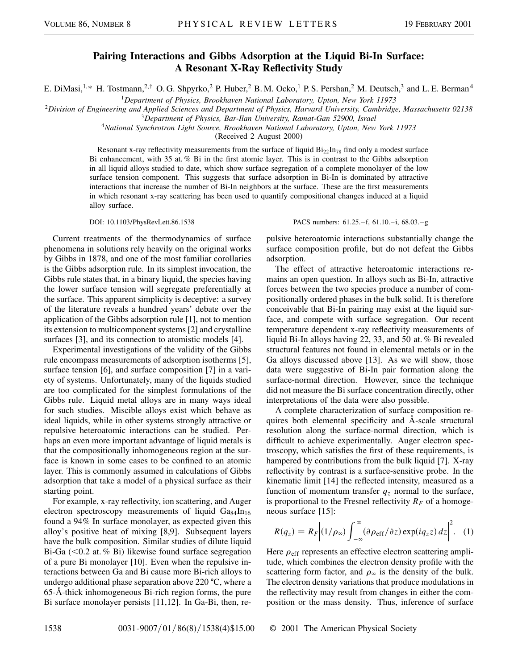## **Pairing Interactions and Gibbs Adsorption at the Liquid Bi-In Surface: A Resonant X-Ray Reflectivity Study**

E. DiMasi,<sup>1,\*</sup> H. Tostmann,<sup>2,†</sup> O. G. Shpyrko,<sup>2</sup> P. Huber,<sup>2</sup> B. M. Ocko,<sup>1</sup> P. S. Pershan,<sup>2</sup> M. Deutsch,<sup>3</sup> and L. E. Berman<sup>4</sup>

<sup>1</sup>*Department of Physics, Brookhaven National Laboratory, Upton, New York 11973*

<sup>2</sup>*Division of Engineering and Applied Sciences and Department of Physics, Harvard University, Cambridge, Massachusetts 02138*

<sup>3</sup>*Department of Physics, Bar-Ilan University, Ramat-Gan 52900, Israel*

<sup>4</sup>*National Synchrotron Light Source, Brookhaven National Laboratory, Upton, New York 11973*

(Received 2 August 2000)

Resonant x-ray reflectivity measurements from the surface of liquid  $\rm Bi_{22}In_{78}$  find only a modest surface Bi enhancement, with 35 at. % Bi in the first atomic layer. This is in contrast to the Gibbs adsorption in all liquid alloys studied to date, which show surface segregation of a complete monolayer of the low surface tension component. This suggests that surface adsorption in Bi-In is dominated by attractive interactions that increase the number of Bi-In neighbors at the surface. These are the first measurements in which resonant x-ray scattering has been used to quantify compositional changes induced at a liquid alloy surface.

Current treatments of the thermodynamics of surface phenomena in solutions rely heavily on the original works by Gibbs in 1878, and one of the most familiar corollaries is the Gibbs adsorption rule. In its simplest invocation, the Gibbs rule states that, in a binary liquid, the species having the lower surface tension will segregate preferentially at the surface. This apparent simplicity is deceptive: a survey of the literature reveals a hundred years' debate over the application of the Gibbs adsorption rule [1], not to mention its extension to multicomponent systems [2] and crystalline surfaces [3], and its connection to atomistic models [4].

Experimental investigations of the validity of the Gibbs rule encompass measurements of adsorption isotherms [5], surface tension [6], and surface composition [7] in a variety of systems. Unfortunately, many of the liquids studied are too complicated for the simplest formulations of the Gibbs rule. Liquid metal alloys are in many ways ideal for such studies. Miscible alloys exist which behave as ideal liquids, while in other systems strongly attractive or repulsive heteroatomic interactions can be studied. Perhaps an even more important advantage of liquid metals is that the compositionally inhomogeneous region at the surface is known in some cases to be confined to an atomic layer. This is commonly assumed in calculations of Gibbs adsorption that take a model of a physical surface as their starting point.

For example, x-ray reflectivity, ion scattering, and Auger electron spectroscopy measurements of liquid  $Ga_{84}In_{16}$ found a 94% In surface monolayer, as expected given this alloy's positive heat of mixing [8,9]. Subsequent layers have the bulk composition. Similar studies of dilute liquid Bi-Ga ( $<$ 0.2 at. % Bi) likewise found surface segregation of a pure Bi monolayer [10]. Even when the repulsive interactions between Ga and Bi cause more Bi-rich alloys to undergo additional phase separation above 220  $^{\circ}C$ , where a 65-Å-thick inhomogeneous Bi-rich region forms, the pure Bi surface monolayer persists [11,12]. In Ga-Bi, then, re-

DOI: 10.1103/PhysRevLett.86.1538 PACS numbers: 61.25.–f, 61.10.–i, 68.03.–g

pulsive heteroatomic interactions substantially change the surface composition profile, but do not defeat the Gibbs adsorption.

The effect of attractive heteroatomic interactions remains an open question. In alloys such as Bi-In, attractive forces between the two species produce a number of compositionally ordered phases in the bulk solid. It is therefore conceivable that Bi-In pairing may exist at the liquid surface, and compete with surface segregation. Our recent temperature dependent x-ray reflectivity measurements of liquid Bi-In alloys having 22, 33, and 50 at. % Bi revealed structural features not found in elemental metals or in the Ga alloys discussed above [13]. As we will show, those data were suggestive of Bi-In pair formation along the surface-normal direction. However, since the technique did not measure the Bi surface concentration directly, other interpretations of the data were also possible.

A complete characterization of surface composition requires both elemental specificity and Å-scale structural resolution along the surface-normal direction, which is difficult to achieve experimentally. Auger electron spectroscopy, which satisfies the first of these requirements, is hampered by contributions from the bulk liquid [7]. X-ray reflectivity by contrast is a surface-sensitive probe. In the kinematic limit [14] the reflected intensity, measured as a function of momentum transfer  $q<sub>z</sub>$  normal to the surface, is proportional to the Fresnel reflectivity  $R_F$  of a homogeneous surface [15]:

$$
R(q_z) = R_F \Big| (1/\rho_{\infty}) \int_{-\infty}^{\infty} (\partial \rho_{\rm eff}/\partial z) \exp(i q_z z) dz \Big|^2. \quad (1)
$$

Here  $\rho_{\text{eff}}$  represents an effective electron scattering amplitude, which combines the electron density profile with the scattering form factor, and  $\rho_{\infty}$  is the density of the bulk. The electron density variations that produce modulations in the reflectivity may result from changes in either the composition or the mass density. Thus, inference of surface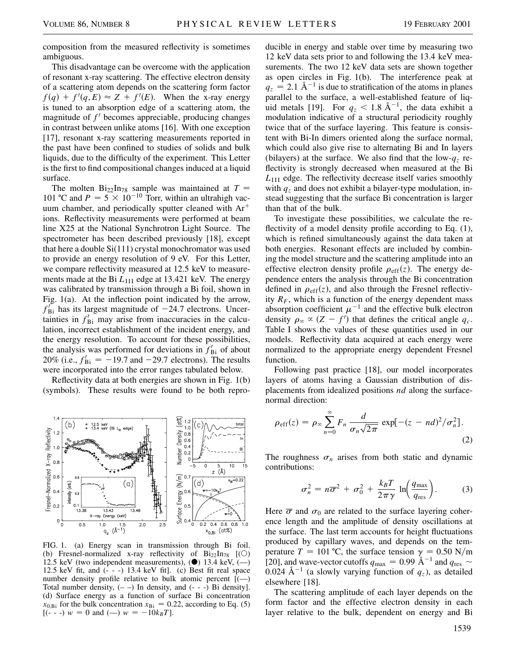composition from the measured reflectivity is sometimes ambiguous.

This disadvantage can be overcome with the application of resonant x-ray scattering. The effective electron density of a scattering atom depends on the scattering form factor  $f(q) + f'(q, E) \approx Z + f'(E)$ . When the x-ray energy is tuned to an absorption edge of a scattering atom, the magnitude of  $f<sup>1</sup>$  becomes appreciable, producing changes in contrast between unlike atoms [16]. With one exception [17], resonant x-ray scattering measurements reported in the past have been confined to studies of solids and bulk liquids, due to the difficulty of the experiment. This Letter is the first to find compositional changes induced at a liquid surface.

The molten  $\text{Bi}_{22}\text{In}_{78}$  sample was maintained at  $T =$ 101 °C and  $P = 5 \times 10^{-10}$  Torr, within an ultrahigh vacuum chamber, and periodically sputter cleaned with  $Ar<sup>+</sup>$ ions. Reflectivity measurements were performed at beam line X25 at the National Synchrotron Light Source. The spectrometer has been described previously [18], except that here a double Si(111) crystal monochromator was used to provide an energy resolution of 9 eV. For this Letter, we compare reflectivity measured at 12.5 keV to measurements made at the Bi  $L<sub>III</sub>$  edge at 13.421 keV. The energy was calibrated by transmission through a Bi foil, shown in Fig. 1(a). At the inflection point indicated by the arrow,  $f_{\text{Bi}}^{\prime}$  has its largest magnitude of  $-24.7$  electrons. Uncertainties in  $f'_{\text{Bi}}$  may arise from inaccuracies in the calculation, incorrect establishment of the incident energy, and the energy resolution. To account for these possibilities, the analysis was performed for deviations in  $f'_{\text{Bi}}$  of about 20% (i.e.,  $f'_{\text{Bi}} = -19.7$  and  $-29.7$  electrons). The results were incorporated into the error ranges tabulated below.

Reflectivity data at both energies are shown in Fig. 1(b) (symbols). These results were found to be both repro-



FIG. 1. (a) Energy scan in transmission through Bi foil. (b) Fresnel-normalized x-ray reflectivity of  $\text{Bi}_{22}\text{In}_{78}$  [(O) 12.5 keV (two independent measurements),  $($  ( $)$ ) 13.4 keV,  $($  $-)$ 12.5 keV fit, and  $(- - )$  13.4 keV fit]. (c) Best fit real space number density profile relative to bulk atomic percent [(—) Total number density,  $(- -)$  In density, and  $(- - -)$  Bi density]. (d) Surface energy as a function of surface Bi concentration  $x_{0,Bi}$  for the bulk concentration  $x_{Bi} = 0.22$ , according to Eq. (5)  $[(- -)] w = 0$  and  $(-) w = -10k_BT$ .

ducible in energy and stable over time by measuring two 12 keV data sets prior to and following the 13.4 keV measurements. The two 12 keV data sets are shown together as open circles in Fig. 1(b). The interference peak at  $q_z = 2.1 \text{ Å}^{-1}$  is due to stratification of the atoms in planes parallel to the surface, a well-established feature of liquid metals [19]. For  $q_z < 1.8 \text{ Å}^{-1}$ , the data exhibit a modulation indicative of a structural periodicity roughly twice that of the surface layering. This feature is consistent with Bi-In dimers oriented along the surface normal, which could also give rise to alternating Bi and In layers (bilayers) at the surface. We also find that the low- $q_z$  reflectivity is strongly decreased when measured at the Bi *L*III edge. The reflectivity decrease itself varies smoothly with  $q<sub>z</sub>$  and does not exhibit a bilayer-type modulation, instead suggesting that the surface Bi concentration is larger than that of the bulk.

To investigate these possibilities, we calculate the reflectivity of a model density profile according to Eq. (1), which is refined simultaneously against the data taken at both energies. Resonant effects are included by combining the model structure and the scattering amplitude into an effective electron density profile  $\rho_{\text{eff}}(z)$ . The energy dependence enters the analysis through the Bi concentration defined in  $\rho_{\text{eff}}(z)$ , and also through the Fresnel reflectivity  $R_F$ , which is a function of the energy dependent mass absorption coefficient  $\mu^{-1}$  and the effective bulk electron density  $\rho_{\infty} \propto (Z - f^{\prime})$  that defines the critical angle  $q_c$ . Table I shows the values of these quantities used in our models. Reflectivity data acquired at each energy were normalized to the appropriate energy dependent Fresnel function.

Following past practice [18], our model incorporates layers of atoms having a Gaussian distribution of displacements from idealized positions *nd* along the surfacenormal direction:

$$
\rho_{\text{eff}}(z) = \rho_{\infty} \sum_{n=0}^{\infty} F_n \frac{d}{\sigma_n \sqrt{2\pi}} \exp[-(z - nd)^2 / \sigma_n^2].
$$
\n(2)

The roughness  $\sigma_n$  arises from both static and dynamic contributions:

$$
\sigma_n^2 = n\overline{\sigma}^2 + \sigma_0^2 + \frac{k_B T}{2\pi\gamma} \ln\left(\frac{q_{\text{max}}}{q_{\text{res}}}\right).
$$
 (3)

Here  $\overline{\sigma}$  and  $\sigma_0$  are related to the surface layering coherence length and the amplitude of density oscillations at the surface. The last term accounts for height fluctuations produced by capillary waves, and depends on the temperature  $T = 101 \degree C$ , the surface tension  $\gamma = 0.50 \mathrm{N/m}$ [20], and wave-vector cutoffs  $q_{\text{max}} = 0.99 \text{ Å}^{-1}$  and  $q_{\text{res}} \sim$ 0.024 Å<sup>-1</sup> (a slowly varying function of  $q_z$ ), as detailed elsewhere [18].

The scattering amplitude of each layer depends on the form factor and the effective electron density in each layer relative to the bulk, dependent on energy and Bi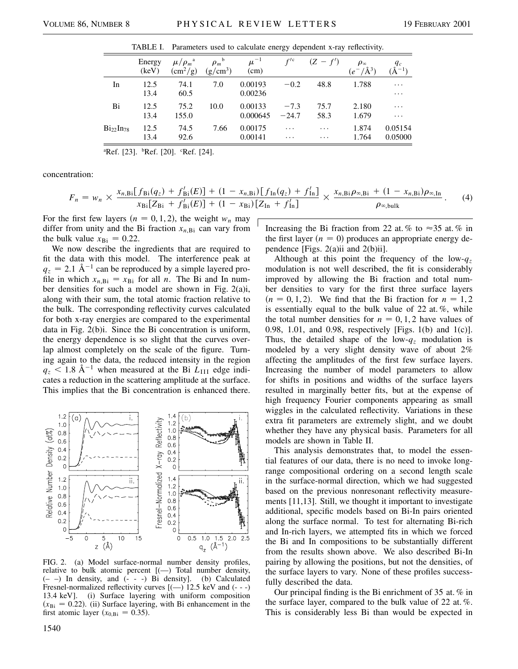TABLE I. Parameters used to calculate energy dependent x-ray reflectivity.

|                  | Energy<br>(keV) | $\mu/\rho_m^{\rm a}$<br>$\text{cm}^2/\text{g}$ | $\rho_m^{\ b}$<br>$(g/cm^3)$ | $\mu^{-1}$<br>(cm)  | f/c                  | $(Z - f')$           | $\rho_{\infty}$<br>$(e^{-}/\AA^{3})$ | $q_c$<br>$(\AA^{-1})$ |
|------------------|-----------------|------------------------------------------------|------------------------------|---------------------|----------------------|----------------------|--------------------------------------|-----------------------|
| In               | 12.5<br>13.4    | 74.1<br>60.5                                   | 7.0                          | 0.00193<br>0.00236  | $-0.2$               | 48.8                 | 1.788                                | $\cdots$<br>$\cdots$  |
| Bi               | 12.5<br>13.4    | 75.2<br>155.0                                  | 10.0                         | 0.00133<br>0.000645 | $-7.3$<br>$-24.7$    | 75.7<br>58.3         | 2.180<br>1.679                       | $\cdots$<br>$\cdots$  |
| $Bi_{22}In_{78}$ | 12.5<br>13.4    | 74.5<br>92.6                                   | 7.66                         | 0.00175<br>0.00141  | $\cdots$<br>$\cdots$ | $\cdots$<br>$\cdots$ | 1.874<br>1.764                       | 0.05154<br>0.05000    |

<sup>a</sup>Ref. [23]. <sup>b</sup>Ref. [20]. <sup>c</sup>Ref. [24].

concentration:

$$
F_n = w_n \times \frac{x_{n,Bi}[f_{Bi}(q_z) + f'_{Bi}(E)] + (1 - x_{n,Bi})[f_{In}(q_z) + f'_{In}]}{x_{Bi}[Z_{Bi} + f'_{Bi}(E)] + (1 - x_{Bi})[Z_{In} + f'_{In}]} \times \frac{x_{n,Bi}\rho_{\infty,Bi} + (1 - x_{n,Bi})\rho_{\infty,In}}{\rho_{\infty,bulk}}.
$$
 (4)

For the first few layers  $(n = 0, 1, 2)$ , the weight  $w_n$  may differ from unity and the Bi fraction  $x_{n,Bi}$  can vary from the bulk value  $x_{\text{Bi}} = 0.22$ .

We now describe the ingredients that are required to fit the data with this model. The interference peak at  $q_z = 2.1 \text{ Å}^{-1}$  can be reproduced by a simple layered profile in which  $x_{n,Bi} = x_{Bi}$  for all *n*. The Bi and In number densities for such a model are shown in Fig. 2(a)i, along with their sum, the total atomic fraction relative to the bulk. The corresponding reflectivity curves calculated for both x-ray energies are compared to the experimental data in Fig. 2(b)i. Since the Bi concentration is uniform, the energy dependence is so slight that the curves overlap almost completely on the scale of the figure. Turning again to the data, the reduced intensity in the region  $q_z < 1.8$  Å<sup>-1</sup> when measured at the Bi  $L_{\text{III}}$  edge indicates a reduction in the scattering amplitude at the surface. This implies that the Bi concentration is enhanced there.



FIG. 2. (a) Model surface-normal number density profiles, relative to bulk atomic percent [(—) Total number density,  $(- -)$  In density, and  $(- - )$  Bi density]. (b) Calculated Fresnel-normalized reflectivity curves  $[(-)$  12.5 keV and  $(-)$ 13.4 keV]. (i) Surface layering with uniform composition  $(x_{\text{Bi}} = 0.22)$ . (ii) Surface layering, with Bi enhancement in the first atomic layer  $(x_{0,Bi} = 0.35)$ .

Increasing the Bi fraction from 22 at. % to  $\approx$ 35 at. % in the first layer  $(n = 0)$  produces an appropriate energy dependence [Figs. 2(a)ii and 2(b)ii].

Although at this point the frequency of the low-*qz* modulation is not well described, the fit is considerably improved by allowing the Bi fraction and total number densities to vary for the first three surface layers  $(n = 0, 1, 2)$ . We find that the Bi fraction for  $n = 1, 2$ is essentially equal to the bulk value of 22 at. %, while the total number densities for  $n = 0, 1, 2$  have values of 0.98, 1.01, and 0.98, respectively [Figs. 1(b) and 1(c)]. Thus, the detailed shape of the low- $q_z$  modulation is modeled by a very slight density wave of about 2% affecting the amplitudes of the first few surface layers. Increasing the number of model parameters to allow for shifts in positions and widths of the surface layers resulted in marginally better fits, but at the expense of high frequency Fourier components appearing as small wiggles in the calculated reflectivity. Variations in these extra fit parameters are extremely slight, and we doubt whether they have any physical basis. Parameters for all models are shown in Table II.

This analysis demonstrates that, to model the essential features of our data, there is no need to invoke longrange compositional ordering on a second length scale in the surface-normal direction, which we had suggested based on the previous nonresonant reflectivity measurements [11,13]. Still, we thought it important to investigate additional, specific models based on Bi-In pairs oriented along the surface normal. To test for alternating Bi-rich and In-rich layers, we attempted fits in which we forced the Bi and In compositions to be substantially different from the results shown above. We also described Bi-In pairing by allowing the positions, but not the densities, of the surface layers to vary. None of these profiles successfully described the data.

Our principal finding is the Bi enrichment of 35 at. % in the surface layer, compared to the bulk value of 22 at. %. This is considerably less Bi than would be expected in